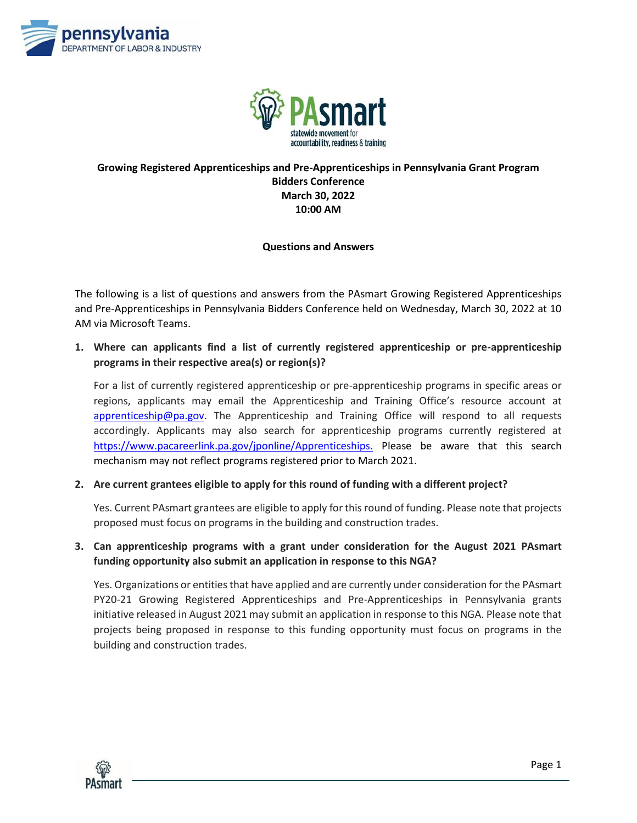



## **Growing Registered Apprenticeships and Pre-Apprenticeships in Pennsylvania Grant Program Bidders Conference March 30, 2022 10:00 AM**

#### **Questions and Answers**

The following is a list of questions and answers from the PAsmart Growing Registered Apprenticeships and Pre-Apprenticeships in Pennsylvania Bidders Conference held on Wednesday, March 30, 2022 at 10 AM via Microsoft Teams.

**1. Where can applicants find a list of currently registered apprenticeship or pre-apprenticeship programs in their respective area(s) or region(s)?**

For a list of currently registered apprenticeship or pre-apprenticeship programs in specific areas or regions, applicants may email the Apprenticeship and Training Office's resource account at [apprenticeship@pa.gov.](mailto:apprenticeship@pa.gov) The Apprenticeship and Training Office will respond to all requests accordingly. Applicants may also search for apprenticeship programs currently registered at [https://www.pacareerlink.pa.gov/jponline/Apprenticeships.](https://www.pacareerlink.pa.gov/jponline/Apprenticeships.Please) Please be aware that this search mechanism may not reflect programs registered prior to March 2021.

**2. Are current grantees eligible to apply for this round of funding with a different project?**

Yes. Current PAsmart grantees are eligible to apply for this round of funding. Please note that projects proposed must focus on programs in the building and construction trades.

### **3. Can apprenticeship programs with a grant under consideration for the August 2021 PAsmart funding opportunity also submit an application in response to this NGA?**

Yes. Organizations or entities that have applied and are currently under consideration for the PAsmart PY20-21 Growing Registered Apprenticeships and Pre-Apprenticeships in Pennsylvania grants initiative released in August 2021 may submit an application in response to this NGA. Please note that projects being proposed in response to this funding opportunity must focus on programs in the building and construction trades.